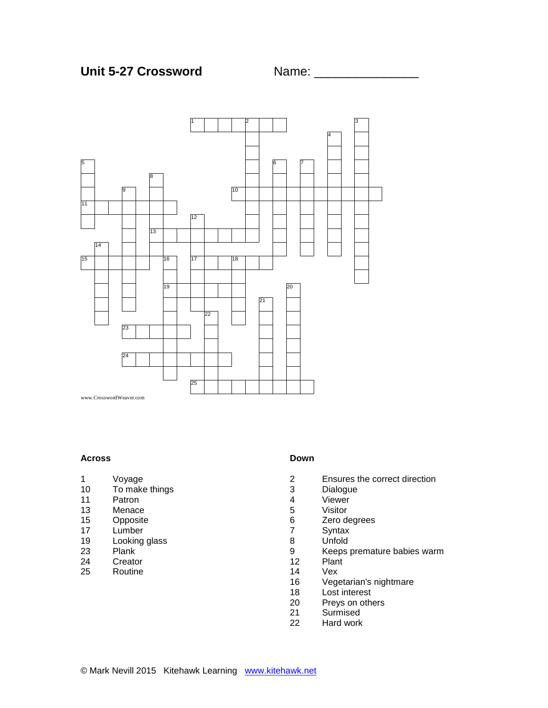

#### **Across**

- Voyage
- To make things
- Patron
- Menace
- 15 Opposite<br>17 Lumber
- 17 Lumber<br>19 Looking
- 19 Looking glass<br>23 Plank
- 23 Plank<br>24 Creato
- 24 Creator<br>25 Routine
- Routine

#### **Down**

- Ensures the correct direction
- 3 Dialogue<br>4 Viewer
- 4 Viewer<br>5 Visitor
- Visitor
- 6 Zero degrees<br>7 Syntax
- Syntax
- 8 Unfold<br>9 Keeps
- 9 Keeps premature babies warm<br>12 Plant
- Plant
- Vex
- Vegetarian's nightmare
- Lost interest
- Preys on others
- Surmised
- Hard work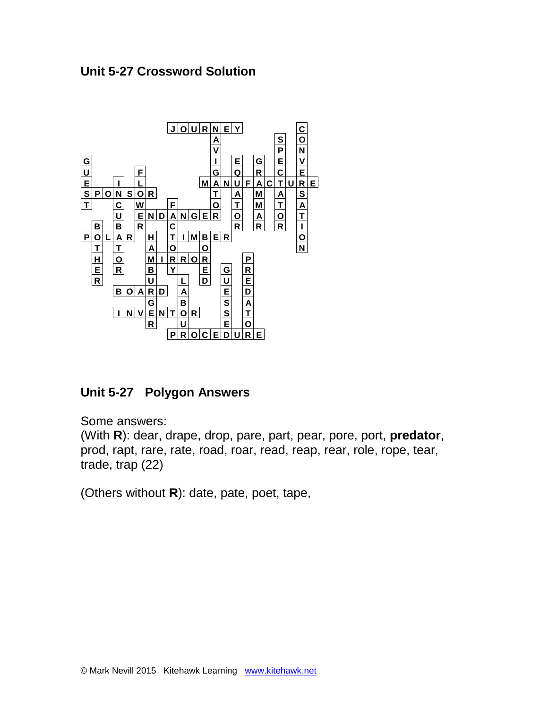



**Unit 5-27 Polygon Answers** 

Some answers:

(With **R**): dear, drape, drop, pare, part, pear, pore, port, **predator**, prod, rapt, rare, rate, road, roar, read, reap, rear, role, rope, tear, trade, trap (22)

(Others without **R**): date, pate, poet, tape,